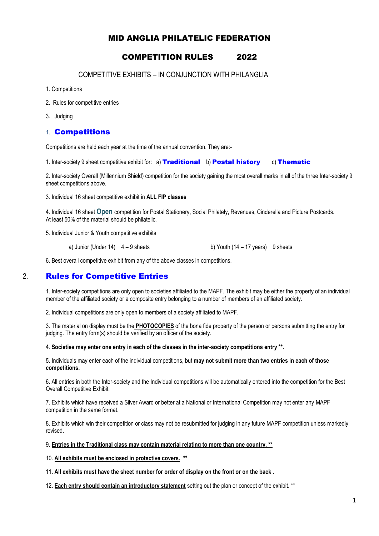### MID ANGLIA PHILATELIC FEDERATION

# COMPETITION RULES 2022

COMPETITIVE EXHIBITS – IN CONJUNCTION WITH PHILANGLIA

- 1. Competitions
- 2. Rules for competitive entries
- 3. Judging

#### 1. Competitions

Competitions are held each year at the time of the annual convention. They are:-

1. Inter-society 9 sheet competitive exhibit for: a) Traditional b) Postal history c) Thematic

2. Inter-society Overall (Millennium Shield) competition for the society gaining the most overall marks in all of the three Inter-society 9 sheet competitions above.

3. Individual 16 sheet competitive exhibit in **ALL FIP classes**

4. Individual 16 sheet **Open** competition for Postal Stationery, Social Philately, Revenues, Cinderella and Picture Postcards. At least 50% of the material should be philatelic.

5. Individual Junior & Youth competitive exhibits

a) Junior (Under  $14$ )  $4 - 9$  sheets b) Youth  $(14 - 17 \text{ years})$  9 sheets

6. Best overall competitive exhibit from any of the above classes in competitions.

## 2. Rules for Competitive Entries

1. Inter-society competitions are only open to societies affiliated to the MAPF. The exhibit may be either the property of an individual member of the affiliated society or a composite entry belonging to a number of members of an affiliated society.

2. Individual competitions are only open to members of a society affiliated to MAPF.

3. The material on display must be the **PHOTOCOPIES** of the bona fide property of the person or persons submitting the entry for judging. The entry form(s) should be verified by an officer of the society.

4. **Societies may enter one entry in each of the classes in the inter-society competitions entry \*\*.**

5. Individuals may enter each of the individual competitions, but **may not submit more than two entries in each of those competitions.**

6. All entries in both the Inter-society and the Individual competitions will be automatically entered into the competition for the Best Overall Competitive Exhibit.

7. Exhibits which have received a Silver Award or better at a National or International Competition may not enter any MAPF competition in the same format.

8. Exhibits which win their competition or class may not be resubmitted for judging in any future MAPF competition unless markedly revised.

9. **Entries in the Traditional class may contain material relating to more than one country. \*\***

10. **All exhibits must be enclosed in protective covers. \*\***

11. **All exhibits must have the sheet number for order of display on the front or on the back** .

12. **Each entry should contain an introductory statement** setting out the plan or concept of the exhibit. \*\*